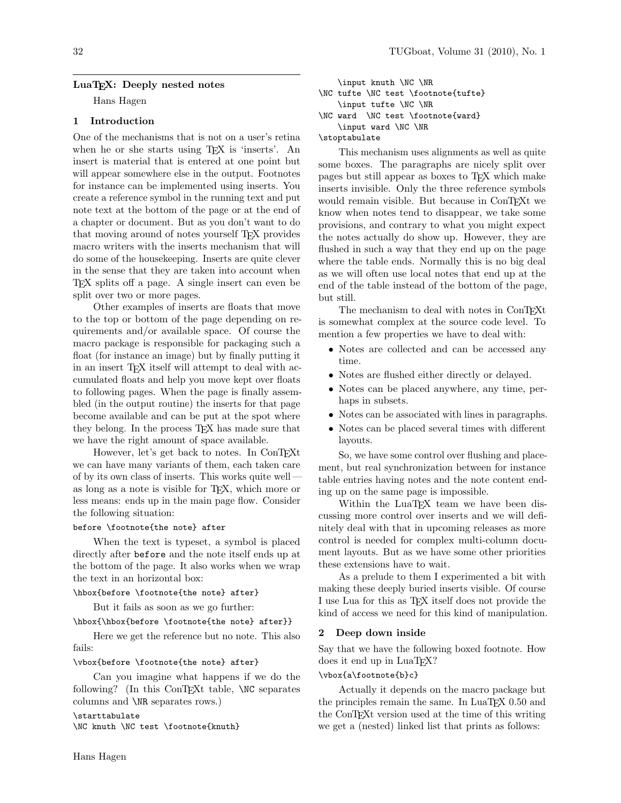### LuaT<sub>EX</sub>: Deeply nested notes

Hans Hagen

# 1 Introduction

One of the mechanisms that is not on a user's retina when he or she starts using T<sub>F</sub>X is 'inserts'. An insert is material that is entered at one point but will appear somewhere else in the output. Footnotes for instance can be implemented using inserts. You create a reference symbol in the running text and put note text at the bottom of the page or at the end of a chapter or document. But as you don't want to do that moving around of notes yourself TEX provides macro writers with the inserts mechanism that will do some of the housekeeping. Inserts are quite clever in the sense that they are taken into account when TEX splits off a page. A single insert can even be split over two or more pages.

Other examples of inserts are floats that move to the top or bottom of the page depending on requirements and/or available space. Of course the macro package is responsible for packaging such a float (for instance an image) but by finally putting it in an insert TEX itself will attempt to deal with accumulated floats and help you move kept over floats to following pages. When the page is finally assembled (in the output routine) the inserts for that page become available and can be put at the spot where they belong. In the process T<sub>EX</sub> has made sure that we have the right amount of space available.

However, let's get back to notes. In ConTEXt we can have many variants of them, each taken care of by its own class of inserts. This works quite well as long as a note is visible for TEX, which more or less means: ends up in the main page flow. Consider the following situation:

## before \footnote{the note} after

When the text is typeset, a symbol is placed directly after before and the note itself ends up at the bottom of the page. It also works when we wrap the text in an horizontal box:

## \hbox{before \footnote{the note} after}

But it fails as soon as we go further:

# \hbox{\hbox{before \footnote{the note} after}}

Here we get the reference but no note. This also fails:

#### \vbox{before \footnote{the note} after}

Can you imagine what happens if we do the following? (In this ConTEXt table,  $\N$ C separates columns and \NR separates rows.)

\starttabulate

\NC knuth \NC test \footnote{knuth}

\input knuth \NC \NR \NC tufte \NC test \footnote{tufte} \input tufte \NC \NR \NC ward \NC test \footnote{ward} \input ward \NC \NR \stoptabulate

This mechanism uses alignments as well as quite some boxes. The paragraphs are nicely split over pages but still appear as boxes to TEX which make inserts invisible. Only the three reference symbols would remain visible. But because in ConTFXt we know when notes tend to disappear, we take some provisions, and contrary to what you might expect the notes actually do show up. However, they are flushed in such a way that they end up on the page where the table ends. Normally this is no big deal as we will often use local notes that end up at the end of the table instead of the bottom of the page, but still.

The mechanism to deal with notes in ConTEXt is somewhat complex at the source code level. To mention a few properties we have to deal with:

- Notes are collected and can be accessed any time.
- Notes are flushed either directly or delayed.
- Notes can be placed anywhere, any time, perhaps in subsets.
- Notes can be associated with lines in paragraphs.
- Notes can be placed several times with different layouts.

So, we have some control over flushing and placement, but real synchronization between for instance table entries having notes and the note content ending up on the same page is impossible.

Within the LuaT<sub>EX</sub> team we have been discussing more control over inserts and we will definitely deal with that in upcoming releases as more control is needed for complex multi-column document layouts. But as we have some other priorities these extensions have to wait.

As a prelude to them I experimented a bit with making these deeply buried inserts visible. Of course I use Lua for this as TEX itself does not provide the kind of access we need for this kind of manipulation.

#### 2 Deep down inside

Say that we have the following boxed footnote. How does it end up in LuaTEX?

### \vbox{a\footnote{b}c}

Actually it depends on the macro package but the principles remain the same. In LuaTEX 0.50 and the ConTEXt version used at the time of this writing we get a (nested) linked list that prints as follows: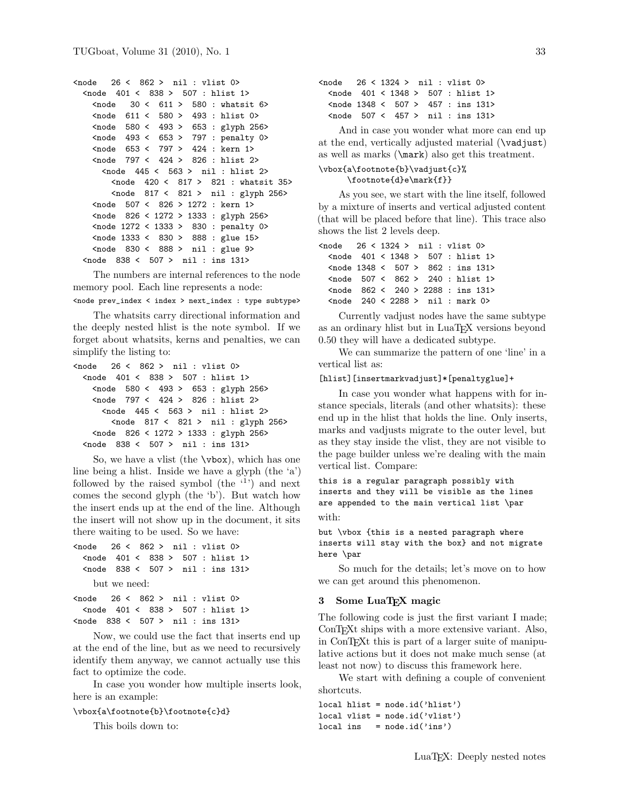```
<node 26 < 862 > nil : vlist 0>
 <node 401 < 838 > 507 : hlist 1>
   \text{630} < 611 > 580 : whatsit 6>
   \text{611} < 580 > 493: hlist 0>
   <node 580 < 493 > 653 : glyph 256>
   <node 493 < 653 > 797 : penalty 0>
   <node 653 < 797 > 424 : kern 1>
   <node 797 < 424 > 826 : hlist 2>
     <node 445 < 563 > nil : hlist 2>
       <node 420 < 817 > 821 : whatsit 35>
       <node 817 < 821 > nil : glyph 256>
   <node 507 < 826 > 1272 : kern 1>
   <node 826 < 1272 > 1333 : glyph 256>
   <node 1272 < 1333 > 830 : penalty 0>
   <node 1333 < 830 > 888 : glue 15>
   <node 830 < 888 > nil : glue 9>
 <node 838 < 507 > nil : ins 131>
```
The numbers are internal references to the node memory pool. Each line represents a node:

<node prev\_index < index > next\_index : type subtype>

The whatsits carry directional information and the deeply nested hlist is the note symbol. If we forget about whatsits, kerns and penalties, we can simplify the listing to:

```
<node 26 < 862 > nil : vlist 0>
 <node 401 < 838 > 507 : hlist 1>
   <node 580 < 493 > 653 : glyph 256>
   <node 797 < 424 > 826 : hlist 2>
     <node 445 < 563 > nil : hlist 2>
       <node 817 < 821 > nil : glyph 256>
   <node 826 < 1272 > 1333 : glyph 256>
 <node 838 < 507 > nil : ins 131>
```
So, we have a vlist (the \vbox), which has one line being a hlist. Inside we have a glyph (the 'a') followed by the raised symbol (the  $(1)$ ) and next comes the second glyph (the 'b'). But watch how the insert ends up at the end of the line. Although the insert will not show up in the document, it sits there waiting to be used. So we have:

```
<node 26 < 862 > nil : vlist 0>
 <node 401 < 838 > 507 : hlist 1>
 <node 838 < 507 > nil : ins 131>
   but we need:
<node 26 < 862 > nil : vlist 0>
 <node 401 < 838 > 507 : hlist 1>
<node 838 < 507 > nil : ins 131>
```
Now, we could use the fact that inserts end up at the end of the line, but as we need to recursively identify them anyway, we cannot actually use this fact to optimize the code.

In case you wonder how multiple inserts look, here is an example:

#### \vbox{a\footnote{b}\footnote{c}d}

This boils down to:

```
<node 26 < 1324 > nil : vlist 0>
 <node 401 < 1348 > 507 : hlist 1>
 <node 1348 < 507 > 457 : ins 131>
 <node 507 < 457 > nil : ins 131>
```
And in case you wonder what more can end up at the end, vertically adjusted material (\vadjust) as well as marks (\mark) also get this treatment.

#### \vbox{a\footnote{b}\vadjust{c}% \footnote{d}e\mark{f}}

As you see, we start with the line itself, followed by a mixture of inserts and vertical adjusted content (that will be placed before that line). This trace also shows the list 2 levels deep.

| $\zeta$ node 26 < 1324 > nil : vlist 0> |  |  |  |                                                              |
|-----------------------------------------|--|--|--|--------------------------------------------------------------|
|                                         |  |  |  | $\zeta$ node 401 < 1348 > 507 : hlist 1>                     |
|                                         |  |  |  | $\zeta$ node 1348 $\zeta$ 507 $>$ 862 : ins 131 >            |
|                                         |  |  |  | $\lambda$ <node 507="" 862="" <=""> 240 : hlist 1&gt;</node> |
|                                         |  |  |  | $\zeta$ node 862 $\zeta$ 240 $>$ 2288 : ins 131 >            |
|                                         |  |  |  | $\lambda$ <node 2288="" 240="" <=""> nil : mark 0&gt;</node> |

Currently vadjust nodes have the same subtype as an ordinary hlist but in LuaTEX versions beyond 0.50 they will have a dedicated subtype.

We can summarize the pattern of one 'line' in a vertical list as:

#### [hlist][insertmarkvadjust]\*[penaltyglue]+

In case you wonder what happens with for instance specials, literals (and other whatsits): these end up in the hlist that holds the line. Only inserts, marks and vadjusts migrate to the outer level, but as they stay inside the vlist, they are not visible to the page builder unless we're dealing with the main vertical list. Compare:

this is a regular paragraph possibly with inserts and they will be visible as the lines are appended to the main vertical list \par with:

but \vbox {this is a nested paragraph where inserts will stay with the box} and not migrate here \par

So much for the details; let's move on to how we can get around this phenomenon.

### 3 Some LuaTEX magic

The following code is just the first variant I made; ConTEXt ships with a more extensive variant. Also, in ConTEXt this is part of a larger suite of manipulative actions but it does not make much sense (at least not now) to discuss this framework here.

We start with defining a couple of convenient shortcuts.

```
local hlist = node.id('hlist')
local vlist = node.id('vlist')
local ins = node.id('ins')
```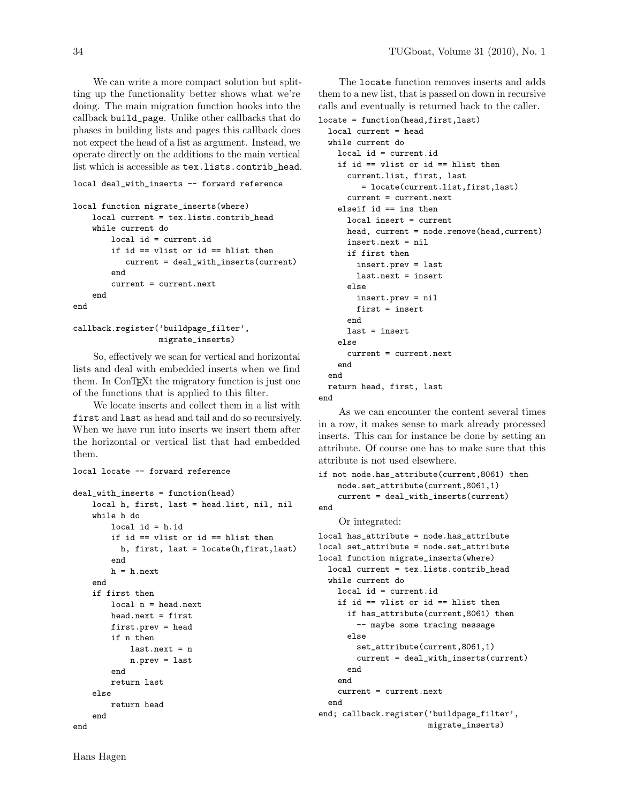We can write a more compact solution but splitting up the functionality better shows what we're doing. The main migration function hooks into the callback build\_page. Unlike other callbacks that do phases in building lists and pages this callback does not expect the head of a list as argument. Instead, we operate directly on the additions to the main vertical list which is accessible as tex.lists.contrib\_head.

#### local deal\_with\_inserts -- forward reference

```
local function migrate_inserts(where)
    local current = tex.lists.contrib_head
    while current do
        local id = current.id
        if id == vlist or id == hlist then
           current = deal_with_inserts(current)
        end
        current = current.next
    end
end
```

```
callback.register('buildpage_filter',
                  migrate_inserts)
```
So, effectively we scan for vertical and horizontal lists and deal with embedded inserts when we find them. In ConT<sub>E</sub>X<sub>t</sub> the migratory function is just one of the functions that is applied to this filter.

We locate inserts and collect them in a list with first and last as head and tail and do so recursively. When we have run into inserts we insert them after the horizontal or vertical list that had embedded them.

```
local locate -- forward reference
```

```
deal_with_inserts = function(head)
   local h, first, last = head.list, nil, nil
    while h do
       local id = h.idif id == vlist or id == hlist then
          h, first, last = locate(h,first,last)
        end
       h = h.nextend
    if first then
        local n = head.next
       head.next = first
       first.prev = head
        if n then
            last.next = nn.prev = last
        end
       return last
    else
       return head
    end
end
```
The locate function removes inserts and adds them to a new list, that is passed on down in recursive calls and eventually is returned back to the caller.

```
locate = function(head,first,last)
 local current = head
 while current do
   local id = current.id
   if id == vlist or id == hlist then
      current.list, first, last
         = locate(current.list,first,last)
     current = current.next
   elseif id == ins then
     local insert = current
     head, current = node.remove(head,current)
     insert.next = nil
     if first then
        insert.prev = last
        last.next = insert
     else
        insert.prev = nil
        first = insert
      end
     last = insert
   else
     current = current.next
   end
 end
 return head, first, last
```
end

As we can encounter the content several times in a row, it makes sense to mark already processed inserts. This can for instance be done by setting an attribute. Of course one has to make sure that this attribute is not used elsewhere.

```
if not node.has_attribute(current,8061) then
   node.set_attribute(current,8061,1)
    current = deal_with_inserts(current)
end
    Or integrated:
local has_attribute = node.has_attribute
local set_attribute = node.set_attribute
local function migrate_inserts(where)
 local current = tex.lists.contrib_head
 while current do
    local id = current.id
    if id == vlist or id == hlist then
      if has_attribute(current,8061) then
        -- maybe some tracing message
      else
        set_attribute(current,8061,1)
        current = deal_with_inserts(current)
      end
    end
    current = current.next
 end
end; callback.register('buildpage_filter',
```
migrate\_inserts)